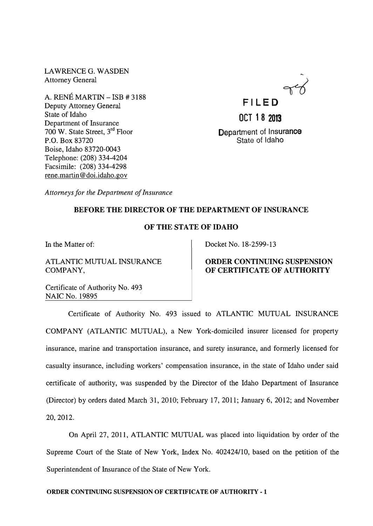LAWRENCEG. WASDEN Attorney General

A. RENE MARTIN - ISB # 3188 Deputy Attorney General State of Idaho Department of Insurance 700 W. State Street, 3rd Floor P.O. Box 83720 Boise, Idaho 83720-0043 Telephone: (208) 334-4204 Facsimile: (208) 334-4298 rene.martin@doi.idaho.gov



Department of Insurance State of Idaho

*Attorneys for the Department of Insurance* 

### BEFORE THE DIRECTOR OF THE DEPARTMENT OF INSURANCE

## OF THE STATE OF IDAHO

In the Matter of:

ATLANTIC MUTUAL INSURANCE COMPANY,

Docket No. 18-2599-13

### ORDER CONTINUING SUSPENSION OF CERTIFICATE OF AUTHORITY

Certificate of Authority No. 493 NAIC No. 19895

Certificate of Authority No. 493 issued to ATLANTIC MUTUAL INSURANCE COMPANY (ATLANTIC MUTUAL), a New York-domiciled insurer licensed for property insurance, marine and transportation insurance, and surety insurance, and formerly licensed for casualty insurance, including workers' compensation insurance, in the state of Idaho under said certificate of authority, was suspended by the Director of the Idaho Department of Insurance (Director) by orders dated March 31,2010; February 17,2011; January 6,2012; and November 20,2012.

On April 27, 2011, ATLANTIC MUTUAL was placed into liquidation by order of the Supreme Court of the State of New York, Index No. 402424110, based on the petition of the Superintendent of Insurance of the State of New York.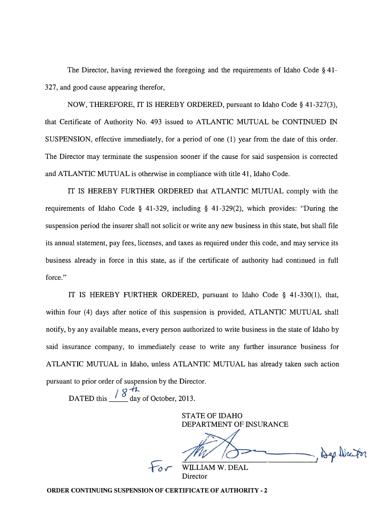The Director, having reviewed the foregoing and the requirements of Idaho Code § 41- 327, and good cause appearing therefor,

NOW, THEREFORE, IT IS HEREBY ORDERED, pursuant to Idaho Code § 41-327(3), that Certificate of Authority No. 493 issued to ATLANTIC MUTUAL be CONTINUED IN SUSPENSION, effective immediately, for a period of one (1) year from the date of this order. The Director may terminate the suspension sooner if the cause for said suspension is corrected and ATLANTIC MUTUAL is otherwise in compliance with title 41, Idaho Code.

IT IS HEREBY FURTHER ORDERED that ATLANTIC MUTUAL comply with the requirements of Idaho Code § 41-329, including § 41-329(2), which provides: "During the suspension period the insurer shall not solicit or write any new business in this state, but shall file its annual statement, pay fees, licenses, and taxes as required under this code, and may service its business already in force in this state, as if the certificate of authority had continued in full force."

IT IS HEREBY FURTHER ORDERED, pursuant to Idaho Code § 41-330(1), that, within four (4) days after notice of this suspension is provided, ATLANTIC MUTUAL shall notify, by any available means, every person authorized to write business in the state of Idaho by said insurance company, to immediately cease to write any further insurance business for ATLANTIC MUTUAL in Idaho, unless ATLANTIC MUTUAL has already taken such action pursuant to prior order of suspension by the Director.

DATED this  $\frac{18\text{ Hz}}{8}$  day of October, 2013.

STATE OF IDAHO DEPARTMENT OF INSURANCE

- Bep Director

LIAM W. DEAL Director

ORDER CONTINUING SUSPENSION OF CERTIFICATE OF AUTHORITY - 2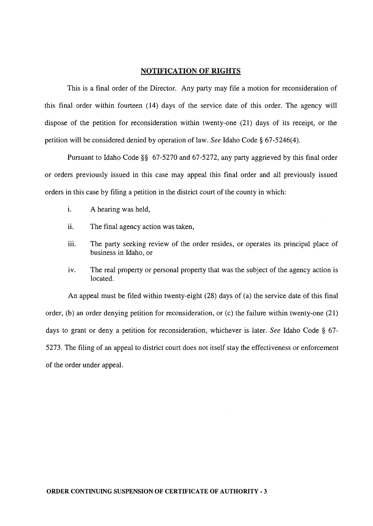#### **NOTIFICATION OF RIGHTS**

This is a final order of the Director. Any party may file a motion for reconsideration of this final order within fourteen (14) days of the service date of this order. The agency will dispose of the petition for reconsideration within twenty-one (21) days of its receipt, or the petition will be considered denied by operation of law. *See* Idaho Code § 67-5246(4).

Pursuant to Idaho Code §§ 67-5270 and 67-5272, any party aggrieved by this final order or orders previously issued in this case may appeal this final order and all previously issued orders in this case by filing a petition in the district court of the county in which:

- i. A hearing was held,
- ii. The final agency action was taken,
- iii. The party seeking review of the order resides, or operates its principal place of business in Idaho, or
- iv. The real property or personal property that was the subject of the agency action is located.

An appeal must be filed within twenty-eight (28) days of (a) the service date of this final order, (b) an order denying petition for reconsideration, or (c) the failure within twenty-one (21) days to grant or deny a petition for reconsideration, whichever is later. *See* Idaho Code § 67- 5273. The filing of an appeal to district court does not itself stay the effectiveness or enforcement of the order under appeal.